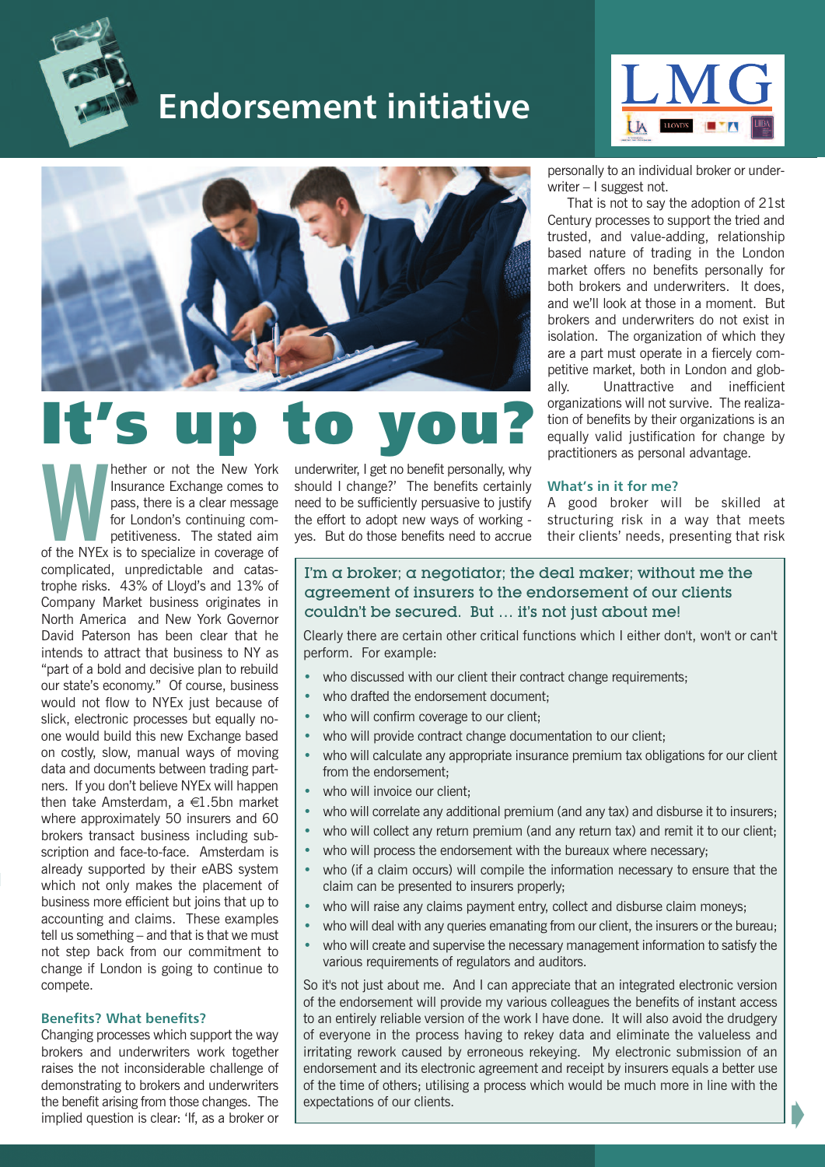

## **Endorsement initiative**





# **It's up to you?**

**Manufacture 1997**<br>
Insurance Exchange comes to<br>
pass, there is a clear message<br>
for London's continuing com-<br>
petitiveness. The stated aim<br>
of the NYEx is to specialize in coverage of Insurance Exchange comes to pass, there is a clear message for London's continuing competitiveness. The stated aim complicated, unpredictable and catastrophe risks. 43% of Lloyd's and 13% of Company Market business originates in North America and New York Governor David Paterson has been clear that he intends to attract that business to NY as "part of a bold and decisive plan to rebuild our state's economy." Of course, business would not flow to NYEx just because of slick, electronic processes but equally noone would build this new Exchange based on costly, slow, manual ways of moving data and documents between trading partners. If you don't believe NYEx will happen then take Amsterdam, a  $\in$ 1.5bn market where approximately 50 insurers and 60 brokers transact business including subscription and face-to-face. Amsterdam is already supported by their eABS system which not only makes the placement of business more efficient but joins that up to accounting and claims. These examples tell us something – and that is that we must not step back from our commitment to change if London is going to continue to compete.

#### **Benefits? What benefits?**

Changing processes which support the way brokers and underwriters work together raises the not inconsiderable challenge of demonstrating to brokers and underwriters the benefit arising from those changes. The implied question is clear: 'If, as a broker or

underwriter, I get no benefit personally, why should I change?' The benefits certainly need to be sufficiently persuasive to justify the effort to adopt new ways of working yes. But do those benefits need to accrue

personally to an individual broker or underwriter – I suggest not.

That is not to say the adoption of 21st Century processes to support the tried and trusted, and value-adding, relationship based nature of trading in the London market offers no benefits personally for both brokers and underwriters. It does, and we'll look at those in a moment. But brokers and underwriters do not exist in isolation. The organization of which they are a part must operate in a fiercely competitive market, both in London and globally. Unattractive and inefficient organizations will not survive. The realization of benefits by their organizations is an equally valid justification for change by practitioners as personal advantage.

#### **What's in it for me?**

A good broker will be skilled at structuring risk in a way that meets their clients' needs, presenting that risk

Á

### I'm  $\alpha$  broker;  $\alpha$  negotiator; the deal maker; without me the agreement of insurers to the endorsement of our clients couldn't be secured. But … it's not just about me!

Clearly there are certain other critical functions which I either don't, won't or can't perform. For example:

- who discussed with our client their contract change requirements;
- who drafted the endorsement document:
- who will confirm coverage to our client;
- who will provide contract change documentation to our client;
- who will calculate any appropriate insurance premium tax obligations for our client from the endorsement;
- who will invoice our client;
- who will correlate any additional premium (and any tax) and disburse it to insurers;
- who will collect any return premium (and any return tax) and remit it to our client;
- who will process the endorsement with the bureaux where necessary;
- who (if a claim occurs) will compile the information necessary to ensure that the claim can be presented to insurers properly;
- who will raise any claims payment entry, collect and disburse claim moneys;
- who will deal with any queries emanating from our client, the insurers or the bureau;
- who will create and supervise the necessary management information to satisfy the various requirements of regulators and auditors.

So it's not just about me. And I can appreciate that an integrated electronic version of the endorsement will provide my various colleagues the benefits of instant access to an entirely reliable version of the work I have done. It will also avoid the drudgery of everyone in the process having to rekey data and eliminate the valueless and irritating rework caused by erroneous rekeying. My electronic submission of an endorsement and its electronic agreement and receipt by insurers equals a better use of the time of others; utilising a process which would be much more in line with the expectations of our clients.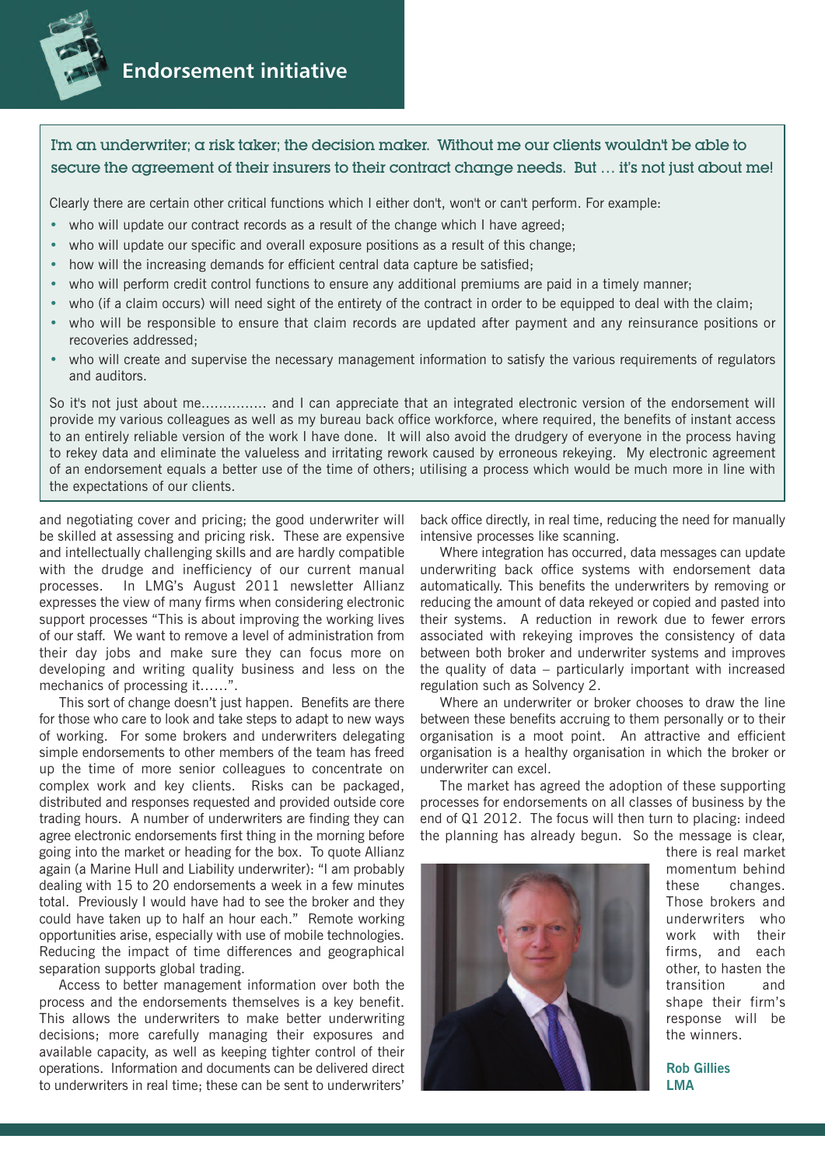

## **Endorsement initiative**

### I'm an underwriter; a risk taker; the decision maker. Without me our clients wouldn't be able to secure the agreement of their insurers to their contract change needs. But ... it's not just about me!

Clearly there are certain other critical functions which I either don't, won't or can't perform. For example:

- who will update our contract records as a result of the change which I have agreed;
- who will update our specific and overall exposure positions as a result of this change;
- how will the increasing demands for efficient central data capture be satisfied;
- who will perform credit control functions to ensure any additional premiums are paid in a timely manner;
- who (if a claim occurs) will need sight of the entirety of the contract in order to be equipped to deal with the claim;
- who will be responsible to ensure that claim records are updated after payment and any reinsurance positions or recoveries addressed;
- who will create and supervise the necessary management information to satisfy the various requirements of regulators and auditors.

So it's not just about me............... and I can appreciate that an integrated electronic version of the endorsement will provide my various colleagues as well as my bureau back office workforce, where required, the benefits of instant access to an entirely reliable version of the work I have done. It will also avoid the drudgery of everyone in the process having to rekey data and eliminate the valueless and irritating rework caused by erroneous rekeying. My electronic agreement of an endorsement equals a better use of the time of others; utilising a process which would be much more in line with the expectations of our clients.

and negotiating cover and pricing; the good underwriter will be skilled at assessing and pricing risk. These are expensive and intellectually challenging skills and are hardly compatible with the drudge and inefficiency of our current manual processes. In LMG's August 2011 newsletter Allianz expresses the view of many firms when considering electronic support processes "This is about improving the working lives of our staff. We want to remove a level of administration from their day jobs and make sure they can focus more on developing and writing quality business and less on the mechanics of processing it……".

This sort of change doesn't just happen. Benefits are there for those who care to look and take steps to adapt to new ways of working. For some brokers and underwriters delegating simple endorsements to other members of the team has freed up the time of more senior colleagues to concentrate on complex work and key clients. Risks can be packaged, distributed and responses requested and provided outside core trading hours. A number of underwriters are finding they can agree electronic endorsements first thing in the morning before going into the market or heading for the box. To quote Allianz again (a Marine Hull and Liability underwriter): "I am probably dealing with 15 to 20 endorsements a week in a few minutes total. Previously I would have had to see the broker and they could have taken up to half an hour each." Remote working opportunities arise, especially with use of mobile technologies. Reducing the impact of time differences and geographical separation supports global trading.

Access to better management information over both the process and the endorsements themselves is a key benefit. This allows the underwriters to make better underwriting decisions; more carefully managing their exposures and available capacity, as well as keeping tighter control of their operations. Information and documents can be delivered direct to underwriters in real time; these can be sent to underwriters'

back office directly, in real time, reducing the need for manually intensive processes like scanning.

Where integration has occurred, data messages can update underwriting back office systems with endorsement data automatically. This benefits the underwriters by removing or reducing the amount of data rekeyed or copied and pasted into their systems. A reduction in rework due to fewer errors associated with rekeying improves the consistency of data between both broker and underwriter systems and improves the quality of data – particularly important with increased regulation such as Solvency 2.

Where an underwriter or broker chooses to draw the line between these benefits accruing to them personally or to their organisation is a moot point. An attractive and efficient organisation is a healthy organisation in which the broker or underwriter can excel.

The market has agreed the adoption of these supporting processes for endorsements on all classes of business by the end of Q1 2012. The focus will then turn to placing: indeed the planning has already begun. So the message is clear,



there is real market momentum behind these changes. Those brokers and underwriters who work with their firms, and each other, to hasten the transition and shape their firm's response will be the winners.

**Rob Gillies LMA**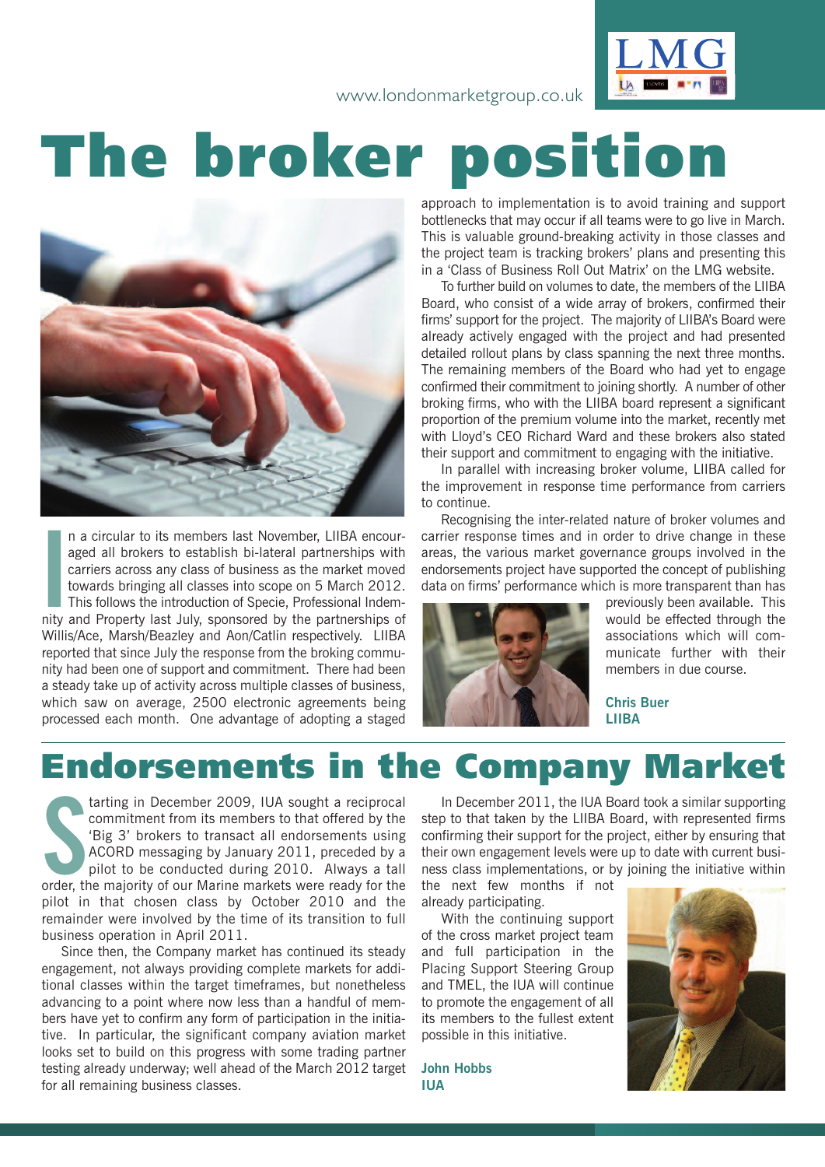www.londonmarketgroup.co.uk



# **The broker position**



n a circular to its members last November, LIIBA encouraged all brokers to establish bi-lateral partnerships with carriers across any class of business as the market moved towards bringing all classes into scope on 5 March n a circular to its members last November, LIIBA encouraged all brokers to establish bi-lateral partnerships with carriers across any class of business as the market moved towards bringing all classes into scope on 5 March 2012. This follows the introduction of Specie, Professional Indem-Willis/Ace, Marsh/Beazley and Aon/Catlin respectively. LIIBA reported that since July the response from the broking community had been one of support and commitment. There had been a steady take up of activity across multiple classes of business, which saw on average, 2500 electronic agreements being processed each month. One advantage of adopting a staged approach to implementation is to avoid training and support bottlenecks that may occur if all teams were to go live in March. This is valuable ground-breaking activity in those classes and the project team is tracking brokers' plans and presenting this in a 'Class of Business Roll Out Matrix' on the LMG website.

To further build on volumes to date, the members of the LIIBA Board, who consist of a wide array of brokers, confirmed their firms' support for the project. The majority of LIIBA's Board were already actively engaged with the project and had presented detailed rollout plans by class spanning the next three months. The remaining members of the Board who had yet to engage confirmed their commitment to joining shortly. A number of other broking firms, who with the LIIBA board represent a significant proportion of the premium volume into the market, recently met with Lloyd's CEO Richard Ward and these brokers also stated their support and commitment to engaging with the initiative.

In parallel with increasing broker volume, LIIBA called for the improvement in response time performance from carriers to continue.

Recognising the inter-related nature of broker volumes and carrier response times and in order to drive change in these areas, the various market governance groups involved in the endorsements project have supported the concept of publishing data on firms' performance which is more transparent than has



previously been available. This would be effected through the associations which will communicate further with their members in due course.

**Chris Buer LIIBA**

## **Endorsements in the Company Market**

tarting in December 2009, IUA sought a reciprocal<br>
commitment from its members to that offered by the<br>
'Big 3' brokers to transact all endorsements using<br>
ACORD messaging by January 2011, preceded by a<br>
pilot to be conduct tarting in December 2009, IUA sought a reciprocal commitment from its members to that offered by the 'Big 3' brokers to transact all endorsements using ACORD messaging by January 2011, preceded by a pilot to be conducted during 2010. Always a tall pilot in that chosen class by October 2010 and the remainder were involved by the time of its transition to full business operation in April 2011.

Since then, the Company market has continued its steady engagement, not always providing complete markets for additional classes within the target timeframes, but nonetheless advancing to a point where now less than a handful of members have yet to confirm any form of participation in the initiative. In particular, the significant company aviation market looks set to build on this progress with some trading partner testing already underway; well ahead of the March 2012 target for all remaining business classes.

In December 2011, the IUA Board took a similar supporting step to that taken by the LIIBA Board, with represented firms confirming their support for the project, either by ensuring that their own engagement levels were up to date with current business class implementations, or by joining the initiative within

the next few months if not already participating.

With the continuing support of the cross market project team and full participation in the Placing Support Steering Group and TMEL, the IUA will continue to promote the engagement of all its members to the fullest extent possible in this initiative.

**John Hobbs IUA**